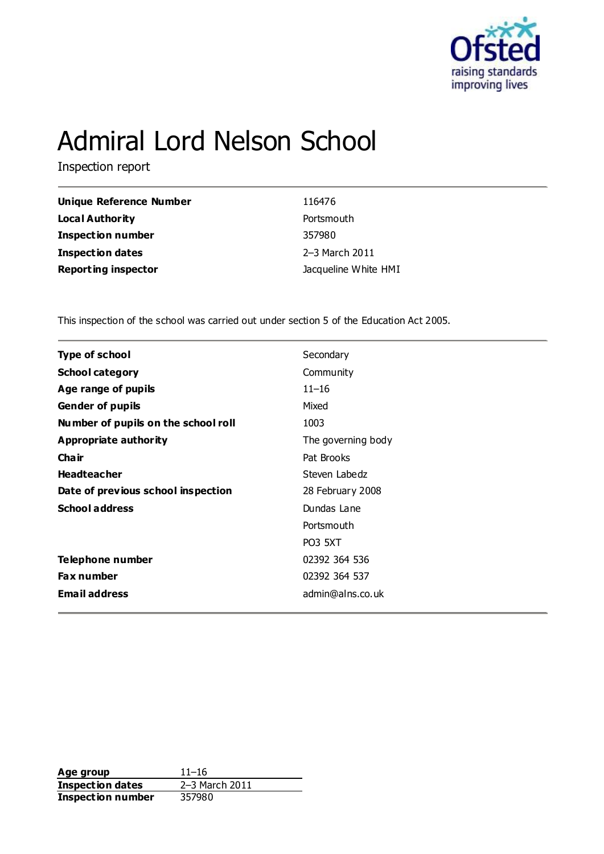

# Admiral Lord Nelson School

Inspection report

| Unique Reference Number    | 116476               |
|----------------------------|----------------------|
| Local Authority            | Portsmouth           |
| <b>Inspection number</b>   | 357980               |
| Inspection dates           | 2-3 March 2011       |
| <b>Reporting inspector</b> | Jacqueline White HMI |

This inspection of the school was carried out under section 5 of the Education Act 2005.

| <b>Type of school</b>               | Secondary          |
|-------------------------------------|--------------------|
| <b>School category</b>              | Community          |
| Age range of pupils                 | $11 - 16$          |
| <b>Gender of pupils</b>             | Mixed              |
| Number of pupils on the school roll | 1003               |
| Appropriate authority               | The governing body |
| Cha ir                              | Pat Brooks         |
| <b>Headteacher</b>                  | Steven Labedz      |
| Date of previous school inspection  | 28 February 2008   |
| <b>School address</b>               | Dundas Lane        |
|                                     | Portsmouth         |
|                                     | <b>PO3 5XT</b>     |
| Telephone number                    | 02392 364 536      |
| <b>Fax number</b>                   | 02392 364 537      |
| <b>Email address</b>                | admin@alns.co.uk   |
|                                     |                    |

**Age group** 11–16<br> **Inspection dates** 2–3 March 2011 **Inspection dates Inspection number** 357980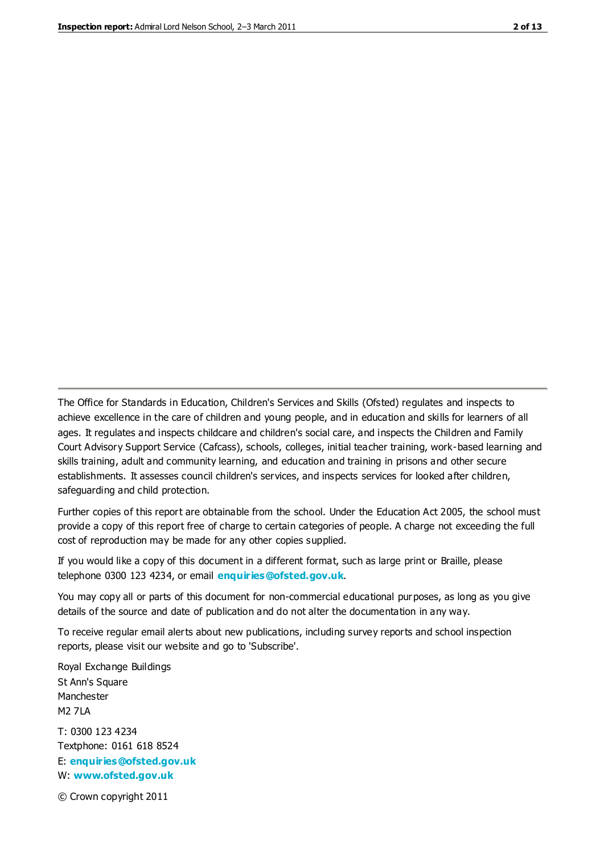The Office for Standards in Education, Children's Services and Skills (Ofsted) regulates and inspects to achieve excellence in the care of children and young people, and in education and skills for learners of all ages. It regulates and inspects childcare and children's social care, and inspects the Children and Family Court Advisory Support Service (Cafcass), schools, colleges, initial teacher training, work-based learning and skills training, adult and community learning, and education and training in prisons and other secure establishments. It assesses council children's services, and inspects services for looked after children, safeguarding and child protection.

Further copies of this report are obtainable from the school. Under the Education Act 2005, the school must provide a copy of this report free of charge to certain categories of people. A charge not exceeding the full cost of reproduction may be made for any other copies supplied.

If you would like a copy of this document in a different format, such as large print or Braille, please telephone 0300 123 4234, or email **[enquiries@ofsted.gov.uk](mailto:enquiries@ofsted.gov.uk)**.

You may copy all or parts of this document for non-commercial educational purposes, as long as you give details of the source and date of publication and do not alter the documentation in any way.

To receive regular email alerts about new publications, including survey reports and school inspection reports, please visit our website and go to 'Subscribe'.

Royal Exchange Buildings St Ann's Square Manchester M2 7LA T: 0300 123 4234 Textphone: 0161 618 8524 E: **[enquiries@ofsted.gov.uk](mailto:enquiries@ofsted.gov.uk)**

W: **[www.ofsted.gov.uk](http://www.ofsted.gov.uk/)**

© Crown copyright 2011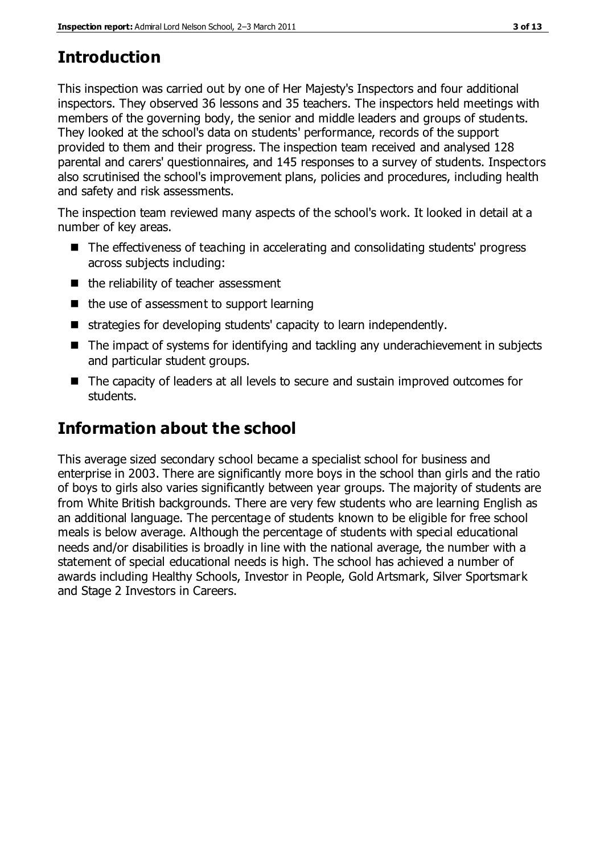### **Introduction**

This inspection was carried out by one of Her Majesty's Inspectors and four additional inspectors. They observed 36 lessons and 35 teachers. The inspectors held meetings with members of the governing body, the senior and middle leaders and groups of students. They looked at the school's data on students' performance, records of the support provided to them and their progress. The inspection team received and analysed 128 parental and carers' questionnaires, and 145 responses to a survey of students. Inspectors also scrutinised the school's improvement plans, policies and procedures, including health and safety and risk assessments.

The inspection team reviewed many aspects of the school's work. It looked in detail at a number of key areas.

- The effectiveness of teaching in accelerating and consolidating students' progress across subjects including:
- the reliability of teacher assessment
- $\blacksquare$  the use of assessment to support learning
- strategies for developing students' capacity to learn independently.
- The impact of systems for identifying and tackling any underachievement in subjects and particular student groups.
- The capacity of leaders at all levels to secure and sustain improved outcomes for students.

### **Information about the school**

This average sized secondary school became a specialist school for business and enterprise in 2003. There are significantly more boys in the school than girls and the ratio of boys to girls also varies significantly between year groups. The majority of students are from White British backgrounds. There are very few students who are learning English as an additional language. The percentage of students known to be eligible for free school meals is below average. Although the percentage of students with special educational needs and/or disabilities is broadly in line with the national average, the number with a statement of special educational needs is high. The school has achieved a number of awards including Healthy Schools, Investor in People, Gold Artsmark, Silver Sportsmark and Stage 2 Investors in Careers.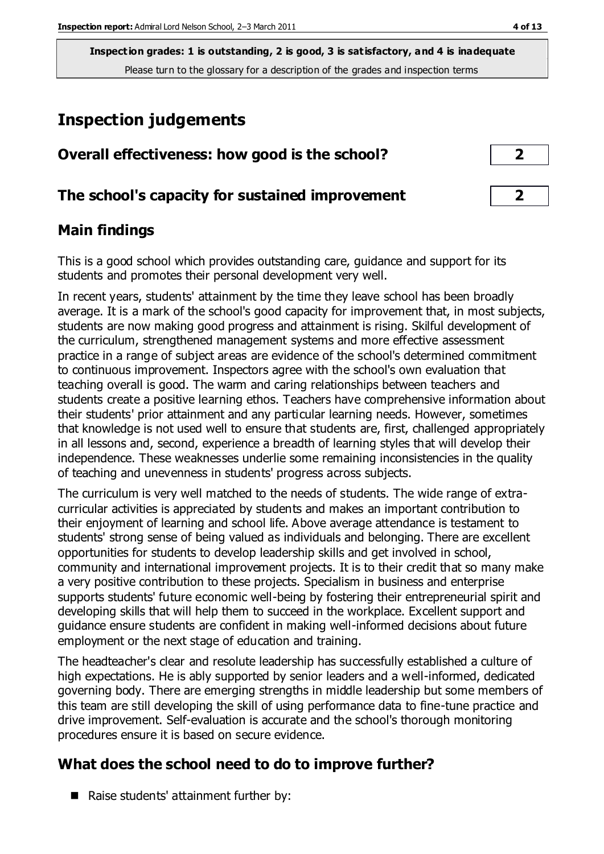**Inspection grades: 1 is outstanding, 2 is good, 3 is satisfactory, and 4 is inadequate** Please turn to the glossary for a description of the grades and inspection terms

### **Inspection judgements**

| Overall effectiveness: how good is the school?  |  |
|-------------------------------------------------|--|
| The school's capacity for sustained improvement |  |

### **Main findings**

This is a good school which provides outstanding care, guidance and support for its students and promotes their personal development very well.

In recent years, students' attainment by the time they leave school has been broadly average. It is a mark of the school's good capacity for improvement that, in most subjects, students are now making good progress and attainment is rising. Skilful development of the curriculum, strengthened management systems and more effective assessment practice in a range of subject areas are evidence of the school's determined commitment to continuous improvement. Inspectors agree with the school's own evaluation that teaching overall is good. The warm and caring relationships between teachers and students create a positive learning ethos. Teachers have comprehensive information about their students' prior attainment and any particular learning needs. However, sometimes that knowledge is not used well to ensure that students are, first, challenged appropriately in all lessons and, second, experience a breadth of learning styles that will develop their independence. These weaknesses underlie some remaining inconsistencies in the quality of teaching and unevenness in students' progress across subjects.

The curriculum is very well matched to the needs of students. The wide range of extracurricular activities is appreciated by students and makes an important contribution to their enjoyment of learning and school life. Above average attendance is testament to students' strong sense of being valued as individuals and belonging. There are excellent opportunities for students to develop leadership skills and get involved in school, community and international improvement projects. It is to their credit that so many make a very positive contribution to these projects. Specialism in business and enterprise supports students' future economic well-being by fostering their entrepreneurial spirit and developing skills that will help them to succeed in the workplace. Excellent support and guidance ensure students are confident in making well-informed decisions about future employment or the next stage of education and training.

The headteacher's clear and resolute leadership has successfully established a culture of high expectations. He is ably supported by senior leaders and a well-informed, dedicated governing body. There are emerging strengths in middle leadership but some members of this team are still developing the skill of using performance data to fine-tune practice and drive improvement. Self-evaluation is accurate and the school's thorough monitoring procedures ensure it is based on secure evidence.

### **What does the school need to do to improve further?**

Raise students' attainment further by: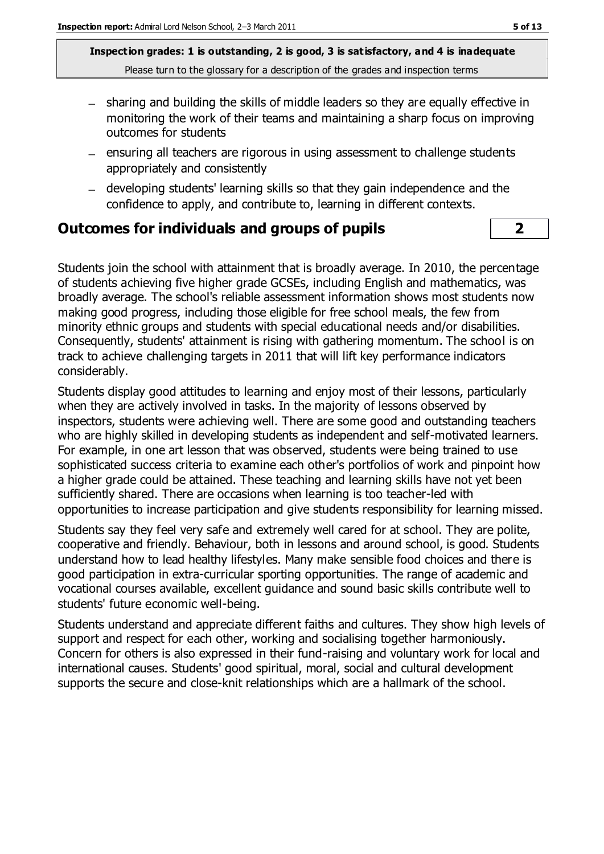**Inspection grades: 1 is outstanding, 2 is good, 3 is satisfactory, and 4 is inadequate** Please turn to the glossary for a description of the grades and inspection terms

- sharing and building the skills of middle leaders so they are equally effective in monitoring the work of their teams and maintaining a sharp focus on improving outcomes for students
- $-$  ensuring all teachers are rigorous in using assessment to challenge students appropriately and consistently
- developing students' learning skills so that they gain independence and the confidence to apply, and contribute to, learning in different contexts.

#### **Outcomes for individuals and groups of pupils 2**

Students join the school with attainment that is broadly average. In 2010, the percentage of students achieving five higher grade GCSEs, including English and mathematics, was broadly average. The school's reliable assessment information shows most students now making good progress, including those eligible for free school meals, the few from minority ethnic groups and students with special educational needs and/or disabilities. Consequently, students' attainment is rising with gathering momentum. The school is on track to achieve challenging targets in 2011 that will lift key performance indicators considerably.

Students display good attitudes to learning and enjoy most of their lessons, particularly when they are actively involved in tasks. In the majority of lessons observed by inspectors, students were achieving well. There are some good and outstanding teachers who are highly skilled in developing students as independent and self-motivated learners. For example, in one art lesson that was observed, students were being trained to use sophisticated success criteria to examine each other's portfolios of work and pinpoint how a higher grade could be attained. These teaching and learning skills have not yet been sufficiently shared. There are occasions when learning is too teacher-led with opportunities to increase participation and give students responsibility for learning missed.

Students say they feel very safe and extremely well cared for at school. They are polite, cooperative and friendly. Behaviour, both in lessons and around school, is good. Students understand how to lead healthy lifestyles. Many make sensible food choices and there is good participation in extra-curricular sporting opportunities. The range of academic and vocational courses available, excellent guidance and sound basic skills contribute well to students' future economic well-being.

Students understand and appreciate different faiths and cultures. They show high levels of support and respect for each other, working and socialising together harmoniously. Concern for others is also expressed in their fund-raising and voluntary work for local and international causes. Students' good spiritual, moral, social and cultural development supports the secure and close-knit relationships which are a hallmark of the school.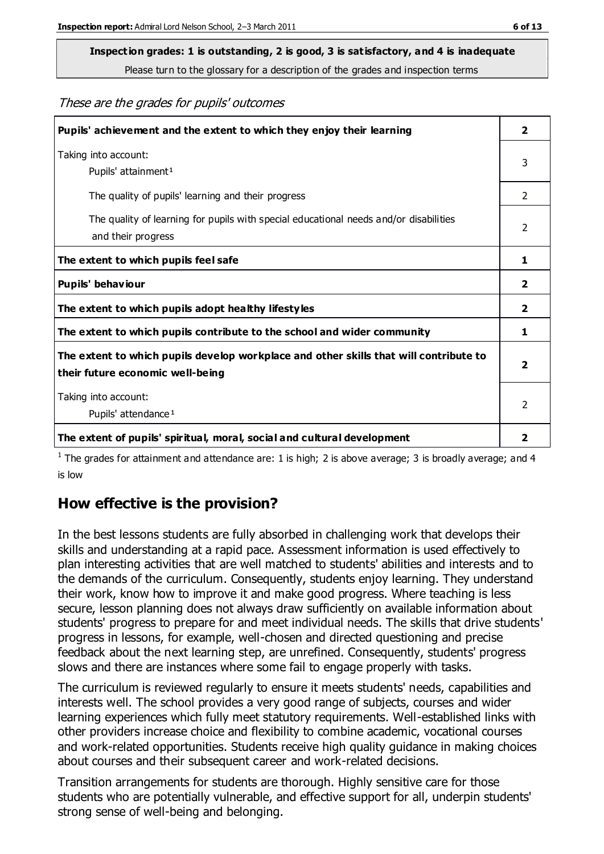## **Inspection grades: 1 is outstanding, 2 is good, 3 is satisfactory, and 4 is inadequate**

Please turn to the glossary for a description of the grades and inspection terms

These are the grades for pupils' outcomes

| Pupils' achievement and the extent to which they enjoy their learning                                                     |                |
|---------------------------------------------------------------------------------------------------------------------------|----------------|
| Taking into account:<br>Pupils' attainment <sup>1</sup>                                                                   | 3              |
| The quality of pupils' learning and their progress                                                                        | $\mathcal{P}$  |
| The quality of learning for pupils with special educational needs and/or disabilities<br>and their progress               | $\overline{2}$ |
| The extent to which pupils feel safe                                                                                      | 1              |
| Pupils' behaviour                                                                                                         | 2              |
| The extent to which pupils adopt healthy lifestyles                                                                       | 2              |
| The extent to which pupils contribute to the school and wider community                                                   | 1              |
| The extent to which pupils develop workplace and other skills that will contribute to<br>their future economic well-being |                |
| Taking into account:<br>Pupils' attendance <sup>1</sup>                                                                   | $\mathcal{P}$  |
| The extent of pupils' spiritual, moral, social and cultural development                                                   | 2              |

<sup>1</sup> The grades for attainment and attendance are: 1 is high; 2 is above average; 3 is broadly average; and 4 is low

### **How effective is the provision?**

In the best lessons students are fully absorbed in challenging work that develops their skills and understanding at a rapid pace. Assessment information is used effectively to plan interesting activities that are well matched to students' abilities and interests and to the demands of the curriculum. Consequently, students enjoy learning. They understand their work, know how to improve it and make good progress. Where teaching is less secure, lesson planning does not always draw sufficiently on available information about students' progress to prepare for and meet individual needs. The skills that drive students' progress in lessons, for example, well-chosen and directed questioning and precise feedback about the next learning step, are unrefined. Consequently, students' progress slows and there are instances where some fail to engage properly with tasks.

The curriculum is reviewed regularly to ensure it meets students' needs, capabilities and interests well. The school provides a very good range of subjects, courses and wider learning experiences which fully meet statutory requirements. Well-established links with other providers increase choice and flexibility to combine academic, vocational courses and work-related opportunities. Students receive high quality guidance in making choices about courses and their subsequent career and work-related decisions.

Transition arrangements for students are thorough. Highly sensitive care for those students who are potentially vulnerable, and effective support for all, underpin students' strong sense of well-being and belonging.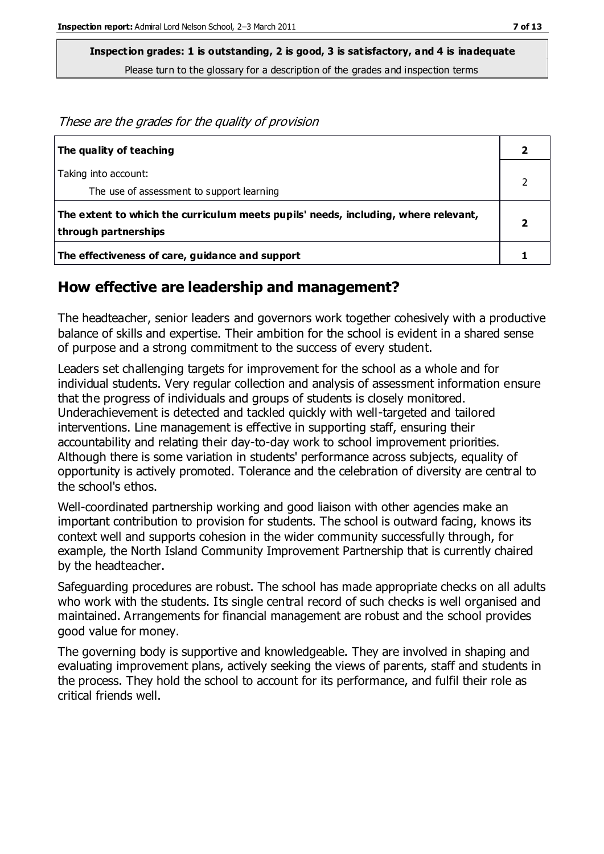**Inspection grades: 1 is outstanding, 2 is good, 3 is satisfactory, and 4 is inadequate** Please turn to the glossary for a description of the grades and inspection terms

These are the grades for the quality of provision

| The quality of teaching                                                                                    |  |
|------------------------------------------------------------------------------------------------------------|--|
| Taking into account:<br>The use of assessment to support learning                                          |  |
| The extent to which the curriculum meets pupils' needs, including, where relevant,<br>through partnerships |  |
| The effectiveness of care, guidance and support                                                            |  |

#### **How effective are leadership and management?**

The headteacher, senior leaders and governors work together cohesively with a productive balance of skills and expertise. Their ambition for the school is evident in a shared sense of purpose and a strong commitment to the success of every student.

Leaders set challenging targets for improvement for the school as a whole and for individual students. Very regular collection and analysis of assessment information ensure that the progress of individuals and groups of students is closely monitored. Underachievement is detected and tackled quickly with well-targeted and tailored interventions. Line management is effective in supporting staff, ensuring their accountability and relating their day-to-day work to school improvement priorities. Although there is some variation in students' performance across subjects, equality of opportunity is actively promoted. Tolerance and the celebration of diversity are central to the school's ethos.

Well-coordinated partnership working and good liaison with other agencies make an important contribution to provision for students. The school is outward facing, knows its context well and supports cohesion in the wider community successfully through, for example, the North Island Community Improvement Partnership that is currently chaired by the headteacher.

Safeguarding procedures are robust. The school has made appropriate checks on all adults who work with the students. Its single central record of such checks is well organised and maintained. Arrangements for financial management are robust and the school provides good value for money.

The governing body is supportive and knowledgeable. They are involved in shaping and evaluating improvement plans, actively seeking the views of parents, staff and students in the process. They hold the school to account for its performance, and fulfil their role as critical friends well.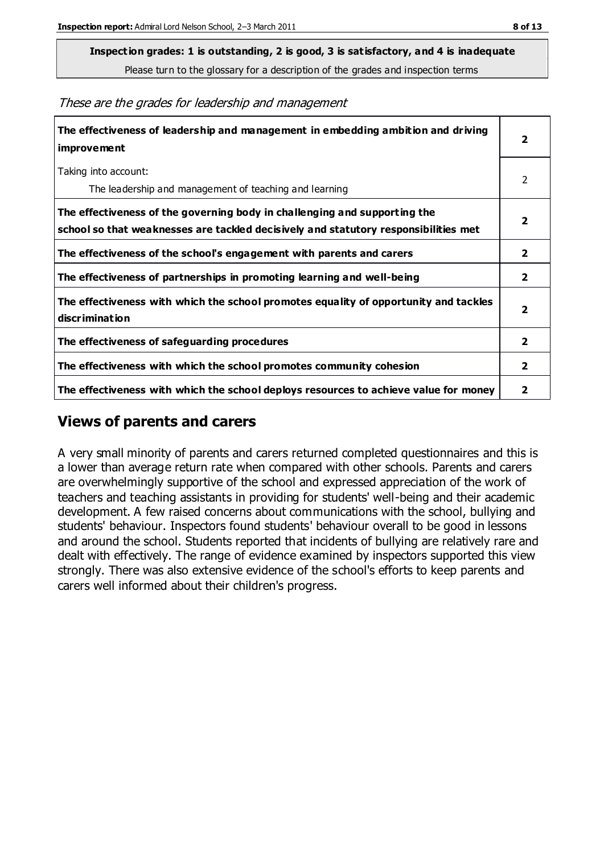### **Inspection grades: 1 is outstanding, 2 is good, 3 is satisfactory, and 4 is inadequate**

Please turn to the glossary for a description of the grades and inspection terms

These are the grades for leadership and management

| The effectiveness of leadership and management in embedding ambition and driving<br>improvement                                                                  |                |
|------------------------------------------------------------------------------------------------------------------------------------------------------------------|----------------|
| Taking into account:<br>The leadership and management of teaching and learning                                                                                   | 2              |
| The effectiveness of the governing body in challenging and supporting the<br>school so that weaknesses are tackled decisively and statutory responsibilities met | $\overline{2}$ |
| The effectiveness of the school's engagement with parents and carers                                                                                             | 2              |
| The effectiveness of partnerships in promoting learning and well-being                                                                                           | 2              |
| The effectiveness with which the school promotes equality of opportunity and tackles<br>discrimination                                                           | $\overline{2}$ |
| The effectiveness of safeguarding procedures                                                                                                                     | 2              |
| The effectiveness with which the school promotes community cohesion                                                                                              | $\overline{2}$ |
| The effectiveness with which the school deploys resources to achieve value for money                                                                             | 2              |

#### **Views of parents and carers**

A very small minority of parents and carers returned completed questionnaires and this is a lower than average return rate when compared with other schools. Parents and carers are overwhelmingly supportive of the school and expressed appreciation of the work of teachers and teaching assistants in providing for students' well-being and their academic development. A few raised concerns about communications with the school, bullying and students' behaviour. Inspectors found students' behaviour overall to be good in lessons and around the school. Students reported that incidents of bullying are relatively rare and dealt with effectively. The range of evidence examined by inspectors supported this view strongly. There was also extensive evidence of the school's efforts to keep parents and carers well informed about their children's progress.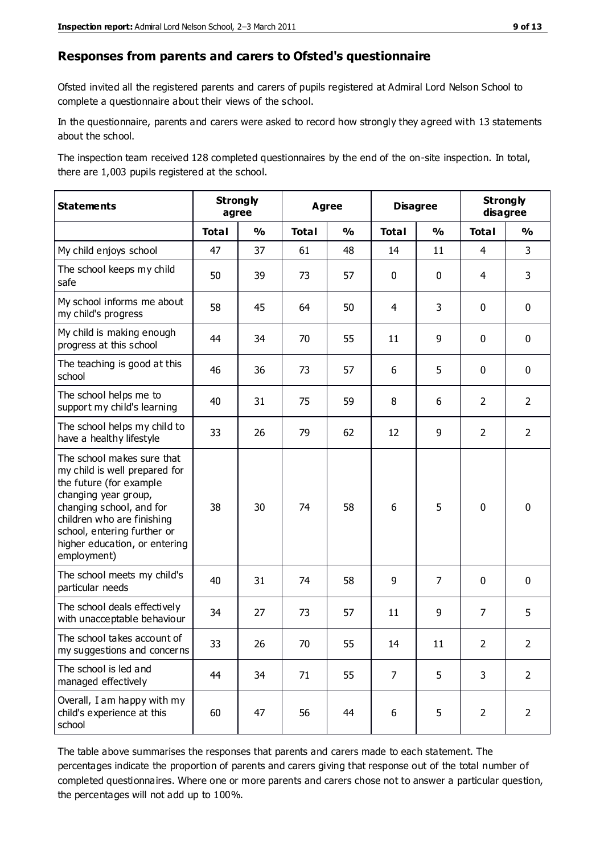#### **Responses from parents and carers to Ofsted's questionnaire**

Ofsted invited all the registered parents and carers of pupils registered at Admiral Lord Nelson School to complete a questionnaire about their views of the school.

In the questionnaire, parents and carers were asked to record how strongly they agreed with 13 statements about the school.

The inspection team received 128 completed questionnaires by the end of the on-site inspection. In total, there are 1,003 pupils registered at the school.

| <b>Statements</b>                                                                                                                                                                                                                                       | <b>Strongly</b><br>agree |               | <b>Agree</b> |               | <b>Disagree</b> |                | <b>Strongly</b><br>disagree |                |
|---------------------------------------------------------------------------------------------------------------------------------------------------------------------------------------------------------------------------------------------------------|--------------------------|---------------|--------------|---------------|-----------------|----------------|-----------------------------|----------------|
|                                                                                                                                                                                                                                                         | <b>Total</b>             | $\frac{1}{2}$ | <b>Total</b> | $\frac{0}{0}$ | <b>Total</b>    | $\frac{1}{2}$  | <b>Total</b>                | $\frac{0}{0}$  |
| My child enjoys school                                                                                                                                                                                                                                  | 47                       | 37            | 61           | 48            | 14              | 11             | $\overline{4}$              | 3              |
| The school keeps my child<br>safe                                                                                                                                                                                                                       | 50                       | 39            | 73           | 57            | $\mathbf 0$     | $\mathbf 0$    | 4                           | 3              |
| My school informs me about<br>my child's progress                                                                                                                                                                                                       | 58                       | 45            | 64           | 50            | 4               | 3              | $\mathbf 0$                 | $\mathbf 0$    |
| My child is making enough<br>progress at this school                                                                                                                                                                                                    | 44                       | 34            | 70           | 55            | 11              | 9              | $\mathbf 0$                 | $\mathbf 0$    |
| The teaching is good at this<br>school                                                                                                                                                                                                                  | 46                       | 36            | 73           | 57            | 6               | 5              | $\mathbf 0$                 | $\mathbf 0$    |
| The school helps me to<br>support my child's learning                                                                                                                                                                                                   | 40                       | 31            | 75           | 59            | 8               | 6              | $\overline{2}$              | $\overline{2}$ |
| The school helps my child to<br>have a healthy lifestyle                                                                                                                                                                                                | 33                       | 26            | 79           | 62            | 12              | 9              | $\overline{2}$              | $\overline{2}$ |
| The school makes sure that<br>my child is well prepared for<br>the future (for example<br>changing year group,<br>changing school, and for<br>children who are finishing<br>school, entering further or<br>higher education, or entering<br>employment) | 38                       | 30            | 74           | 58            | 6               | 5              | $\mathbf 0$                 | $\mathbf 0$    |
| The school meets my child's<br>particular needs                                                                                                                                                                                                         | 40                       | 31            | 74           | 58            | 9               | $\overline{7}$ | $\mathbf 0$                 | $\mathbf 0$    |
| The school deals effectively<br>with unacceptable behaviour                                                                                                                                                                                             | 34                       | 27            | 73           | 57            | 11              | 9              | $\overline{7}$              | 5              |
| The school takes account of<br>my suggestions and concerns                                                                                                                                                                                              | 33                       | 26            | 70           | 55            | 14              | 11             | $\overline{2}$              | $\mathcal{P}$  |
| The school is led and<br>managed effectively                                                                                                                                                                                                            | 44                       | 34            | 71           | 55            | $\overline{7}$  | 5              | 3                           | $\overline{2}$ |
| Overall, I am happy with my<br>child's experience at this<br>school                                                                                                                                                                                     | 60                       | 47            | 56           | 44            | 6               | 5              | $\overline{2}$              | $\overline{2}$ |

The table above summarises the responses that parents and carers made to each statement. The percentages indicate the proportion of parents and carers giving that response out of the total number of completed questionnaires. Where one or more parents and carers chose not to answer a particular question, the percentages will not add up to 100%.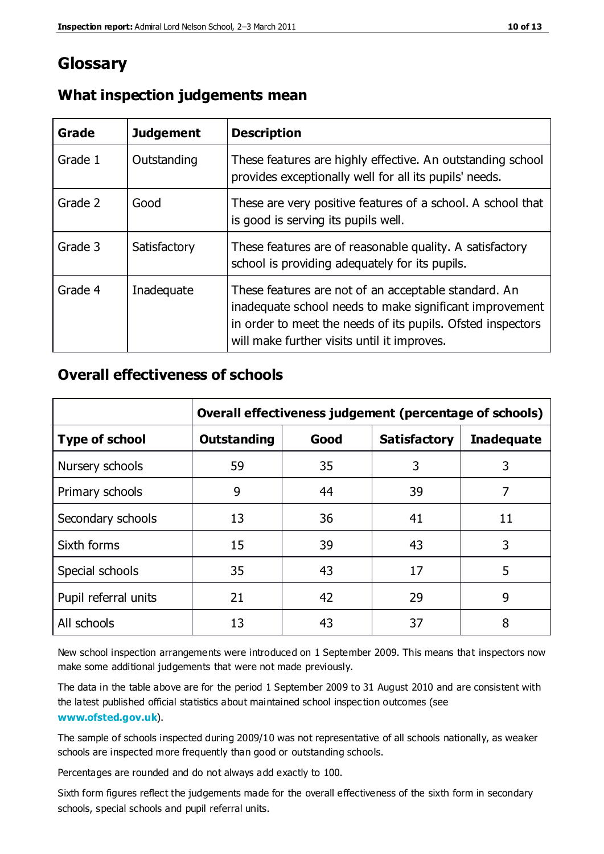### **Glossary**

| Grade   | <b>Judgement</b> | <b>Description</b>                                                                                                                                                                                                            |
|---------|------------------|-------------------------------------------------------------------------------------------------------------------------------------------------------------------------------------------------------------------------------|
| Grade 1 | Outstanding      | These features are highly effective. An outstanding school<br>provides exceptionally well for all its pupils' needs.                                                                                                          |
| Grade 2 | Good             | These are very positive features of a school. A school that<br>is good is serving its pupils well.                                                                                                                            |
| Grade 3 | Satisfactory     | These features are of reasonable quality. A satisfactory<br>school is providing adequately for its pupils.                                                                                                                    |
| Grade 4 | Inadequate       | These features are not of an acceptable standard. An<br>inadequate school needs to make significant improvement<br>in order to meet the needs of its pupils. Ofsted inspectors<br>will make further visits until it improves. |

#### **What inspection judgements mean**

### **Overall effectiveness of schools**

|                       | Overall effectiveness judgement (percentage of schools) |      |                     |                   |
|-----------------------|---------------------------------------------------------|------|---------------------|-------------------|
| <b>Type of school</b> | <b>Outstanding</b>                                      | Good | <b>Satisfactory</b> | <b>Inadequate</b> |
| Nursery schools       | 59                                                      | 35   | 3                   | 3                 |
| Primary schools       | 9                                                       | 44   | 39                  | 7                 |
| Secondary schools     | 13                                                      | 36   | 41                  | 11                |
| Sixth forms           | 15                                                      | 39   | 43                  | 3                 |
| Special schools       | 35                                                      | 43   | 17                  | 5                 |
| Pupil referral units  | 21                                                      | 42   | 29                  | 9                 |
| All schools           | 13                                                      | 43   | 37                  | 8                 |

New school inspection arrangements were introduced on 1 September 2009. This means that inspectors now make some additional judgements that were not made previously.

The data in the table above are for the period 1 September 2009 to 31 August 2010 and are consistent with the latest published official statistics about maintained school inspec tion outcomes (see **[www.ofsted.gov.uk](http://www.ofsted.gov.uk/)**).

The sample of schools inspected during 2009/10 was not representative of all schools nationally, as weaker schools are inspected more frequently than good or outstanding schools.

Percentages are rounded and do not always add exactly to 100.

Sixth form figures reflect the judgements made for the overall effectiveness of the sixth form in secondary schools, special schools and pupil referral units.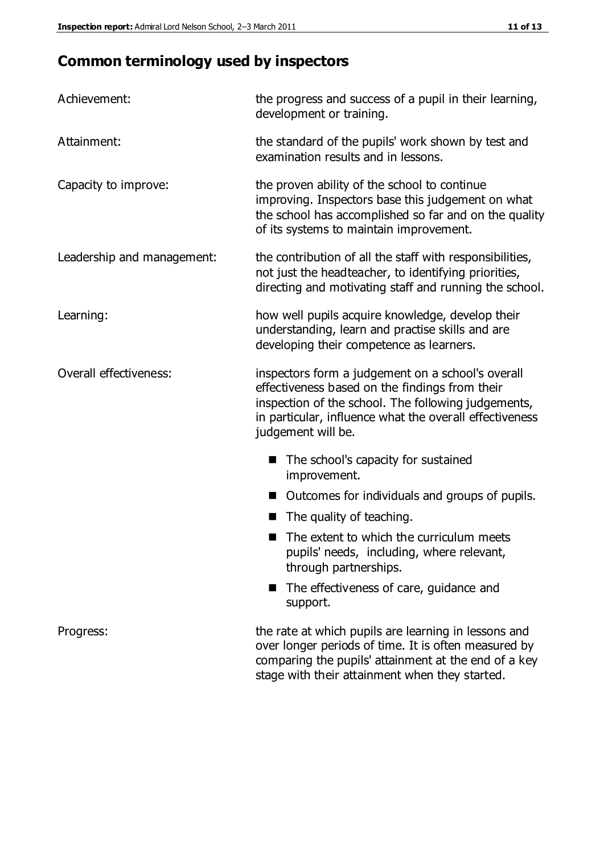### **Common terminology used by inspectors**

| Achievement:                  | the progress and success of a pupil in their learning,<br>development or training.                                                                                                                                                          |  |  |
|-------------------------------|---------------------------------------------------------------------------------------------------------------------------------------------------------------------------------------------------------------------------------------------|--|--|
| Attainment:                   | the standard of the pupils' work shown by test and<br>examination results and in lessons.                                                                                                                                                   |  |  |
| Capacity to improve:          | the proven ability of the school to continue<br>improving. Inspectors base this judgement on what<br>the school has accomplished so far and on the quality<br>of its systems to maintain improvement.                                       |  |  |
| Leadership and management:    | the contribution of all the staff with responsibilities,<br>not just the headteacher, to identifying priorities,<br>directing and motivating staff and running the school.                                                                  |  |  |
| Learning:                     | how well pupils acquire knowledge, develop their<br>understanding, learn and practise skills and are<br>developing their competence as learners.                                                                                            |  |  |
| <b>Overall effectiveness:</b> | inspectors form a judgement on a school's overall<br>effectiveness based on the findings from their<br>inspection of the school. The following judgements,<br>in particular, influence what the overall effectiveness<br>judgement will be. |  |  |
|                               | The school's capacity for sustained<br>improvement.                                                                                                                                                                                         |  |  |
|                               | Outcomes for individuals and groups of pupils.                                                                                                                                                                                              |  |  |
|                               | The quality of teaching.                                                                                                                                                                                                                    |  |  |
|                               | The extent to which the curriculum meets<br>pupils' needs, including, where relevant,<br>through partnerships.                                                                                                                              |  |  |
|                               | The effectiveness of care, guidance and<br>support.                                                                                                                                                                                         |  |  |
| Progress:                     | the rate at which pupils are learning in lessons and<br>over longer periods of time. It is often measured by<br>comparing the pupils' attainment at the end of a key                                                                        |  |  |

stage with their attainment when they started.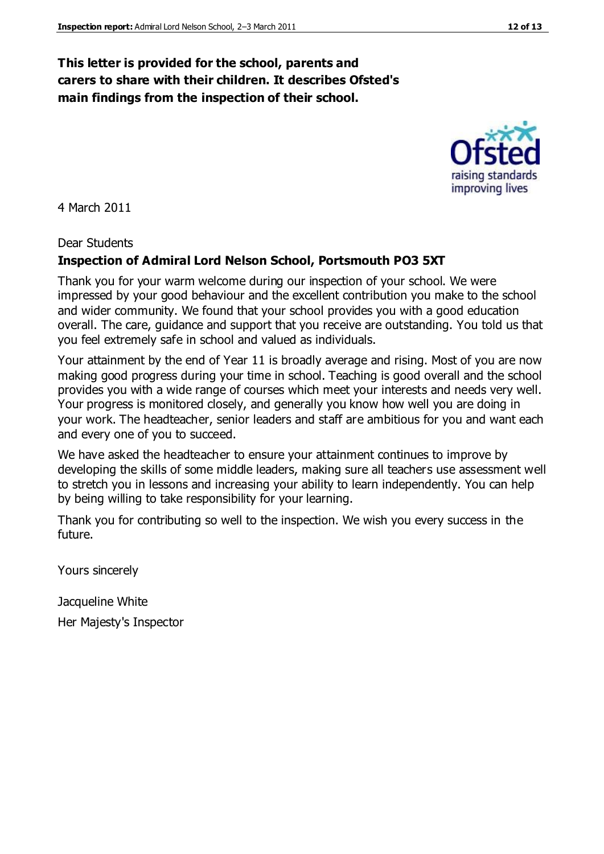### **This letter is provided for the school, parents and carers to share with their children. It describes Ofsted's main findings from the inspection of their school.**

4 March 2011

#### Dear Students

#### **Inspection of Admiral Lord Nelson School, Portsmouth PO3 5XT**

Thank you for your warm welcome during our inspection of your school. We were impressed by your good behaviour and the excellent contribution you make to the school and wider community. We found that your school provides you with a good education overall. The care, guidance and support that you receive are outstanding. You told us that you feel extremely safe in school and valued as individuals.

Your attainment by the end of Year 11 is broadly average and rising. Most of you are now making good progress during your time in school. Teaching is good overall and the school provides you with a wide range of courses which meet your interests and needs very well. Your progress is monitored closely, and generally you know how well you are doing in your work. The headteacher, senior leaders and staff are ambitious for you and want each and every one of you to succeed.

We have asked the headteacher to ensure your attainment continues to improve by developing the skills of some middle leaders, making sure all teachers use assessment well to stretch you in lessons and increasing your ability to learn independently. You can help by being willing to take responsibility for your learning.

Thank you for contributing so well to the inspection. We wish you every success in the future.

Yours sincerely

Jacqueline White Her Majesty's Inspector